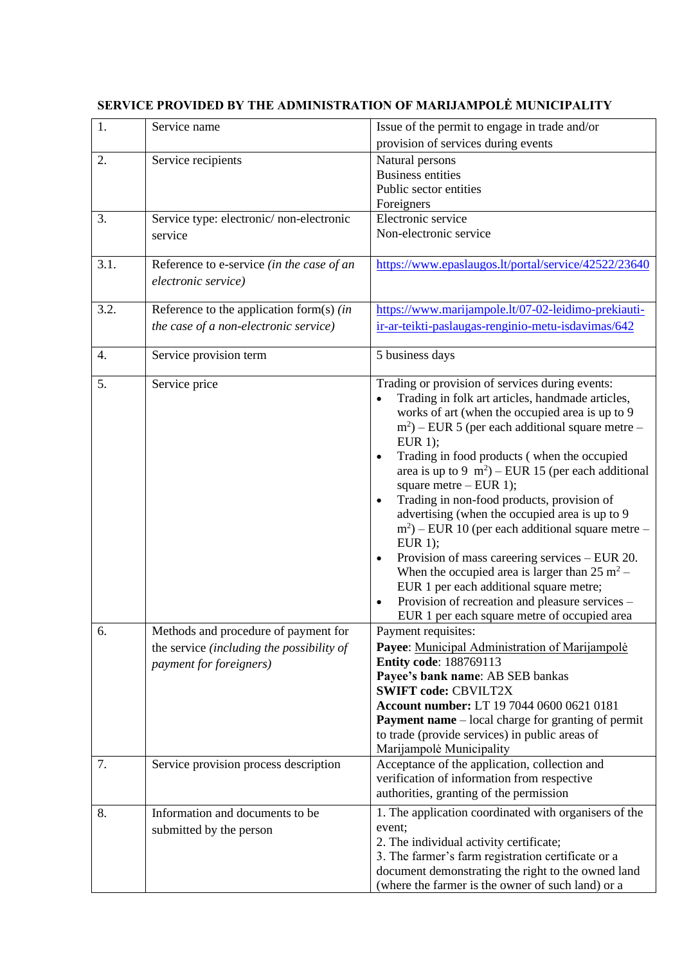| 1.               | Service name                               | Issue of the permit to engage in trade and/or                                                         |
|------------------|--------------------------------------------|-------------------------------------------------------------------------------------------------------|
|                  |                                            | provision of services during events                                                                   |
| 2.               | Service recipients                         | Natural persons                                                                                       |
|                  |                                            | <b>Business entities</b>                                                                              |
|                  |                                            | Public sector entities                                                                                |
|                  |                                            | Foreigners                                                                                            |
| 3.               | Service type: electronic/non-electronic    | Electronic service                                                                                    |
|                  | service                                    | Non-electronic service                                                                                |
| 3.1.             | Reference to e-service (in the case of an  | https://www.epaslaugos.lt/portal/service/42522/23640                                                  |
|                  | electronic service)                        |                                                                                                       |
|                  |                                            |                                                                                                       |
| 3.2.             | Reference to the application form(s) $(in$ | https://www.marijampole.lt/07-02-leidimo-prekiauti-                                                   |
|                  | the case of a non-electronic service)      | ir-ar-teikti-paslaugas-renginio-metu-isdavimas/642                                                    |
| $\overline{4}$ . | Service provision term                     | 5 business days                                                                                       |
| 5.               | Service price                              | Trading or provision of services during events:                                                       |
|                  |                                            | Trading in folk art articles, handmade articles,                                                      |
|                  |                                            | works of art (when the occupied area is up to 9                                                       |
|                  |                                            | $(m2)$ – EUR 5 (per each additional square metre –                                                    |
|                  |                                            | EUR $1$ );                                                                                            |
|                  |                                            | Trading in food products (when the occupied<br>$\bullet$                                              |
|                  |                                            | area is up to 9 $m^2$ ) – EUR 15 (per each additional                                                 |
|                  |                                            | square metre $-$ EUR 1);                                                                              |
|                  |                                            | Trading in non-food products, provision of<br>$\bullet$                                               |
|                  |                                            | advertising (when the occupied area is up to 9<br>$m2$ ) – EUR 10 (per each additional square metre – |
|                  |                                            | EUR $1$ );                                                                                            |
|                  |                                            | Provision of mass careering services - EUR 20.                                                        |
|                  |                                            | When the occupied area is larger than $25 \text{ m}^2$ -                                              |
|                  |                                            | EUR 1 per each additional square metre;                                                               |
|                  |                                            | Provision of recreation and pleasure services -<br>$\bullet$                                          |
|                  |                                            | EUR 1 per each square metre of occupied area                                                          |
| 6.               | Methods and procedure of payment for       | Payment requisites:                                                                                   |
|                  | the service (including the possibility of  | Payee: Municipal Administration of Marijampole                                                        |
|                  | payment for foreigners)                    | <b>Entity code: 188769113</b>                                                                         |
|                  |                                            | Payee's bank name: AB SEB bankas                                                                      |
|                  |                                            | <b>SWIFT code: CBVILT2X</b>                                                                           |
|                  |                                            | Account number: LT 19 7044 0600 0621 0181                                                             |
|                  |                                            | <b>Payment name</b> – local charge for granting of permit                                             |
|                  |                                            | to trade (provide services) in public areas of                                                        |
|                  |                                            | Marijampolė Municipality                                                                              |
| 7.               | Service provision process description      | Acceptance of the application, collection and                                                         |
|                  |                                            | verification of information from respective                                                           |
|                  |                                            | authorities, granting of the permission                                                               |
| 8.               | Information and documents to be            | 1. The application coordinated with organisers of the                                                 |
|                  | submitted by the person                    | event;                                                                                                |
|                  |                                            | 2. The individual activity certificate;                                                               |
|                  |                                            | 3. The farmer's farm registration certificate or a                                                    |
|                  |                                            | document demonstrating the right to the owned land                                                    |
|                  |                                            | (where the farmer is the owner of such land) or a                                                     |

## **SERVICE PROVIDED BY THE ADMINISTRATION OF MARIJAMPOLĖ MUNICIPALITY**